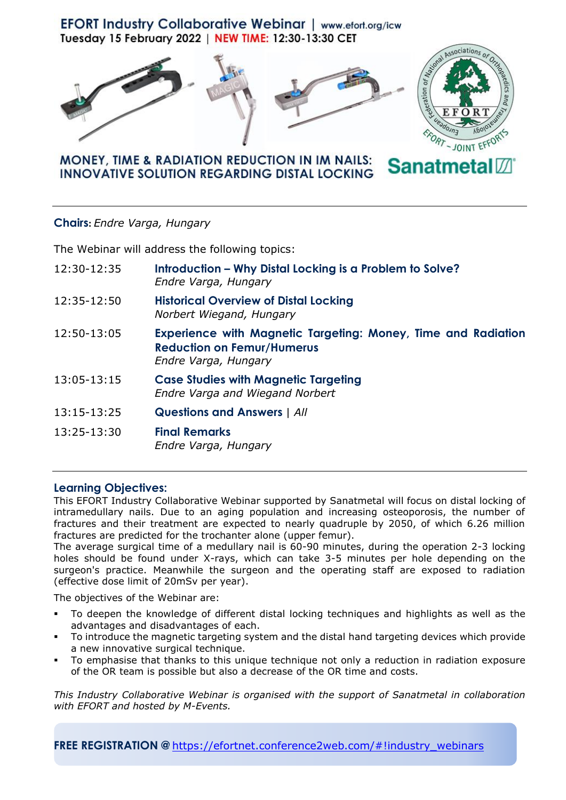





## **MONEY, TIME & RADIATION REDUCTION IN IM NAILS: Sanatmeta INNOVATIVE SOLUTION REGARDING DISTAL LOCKING**

## **Chairs:** *Endre Varga, Hungary*

The Webinar will address the following topics:

| 12:30-12:35 | Introduction - Why Distal Locking is a Problem to Solve?<br>Endre Varga, Hungary                                                  |
|-------------|-----------------------------------------------------------------------------------------------------------------------------------|
| 12:35-12:50 | <b>Historical Overview of Distal Locking</b><br>Norbert Wiegand, Hungary                                                          |
| 12:50-13:05 | <b>Experience with Magnetic Targeting: Money, Time and Radiation</b><br><b>Reduction on Femur/Humerus</b><br>Endre Varga, Hungary |
| 13:05-13:15 | <b>Case Studies with Magnetic Targeting</b><br><b>Endre Varga and Wiegand Norbert</b>                                             |
| 13:15-13:25 | <b>Questions and Answers   All</b>                                                                                                |
| 13:25-13:30 | <b>Final Remarks</b><br>Endre Varga, Hungary                                                                                      |

## **Learning Objectives:**

This EFORT Industry Collaborative Webinar supported by Sanatmetal will focus on distal locking of intramedullary nails. Due to an aging population and increasing osteoporosis, the number of fractures and their treatment are expected to nearly quadruple by 2050, of which 6.26 million fractures are predicted for the trochanter alone (upper femur).

The average surgical time of a medullary nail is 60-90 minutes, during the operation 2-3 locking holes should be found under X-rays, which can take 3-5 minutes per hole depending on the surgeon's practice. Meanwhile the surgeon and the operating staff are exposed to radiation (effective dose limit of 20mSv per year).

The objectives of the Webinar are:

- To deepen the knowledge of different distal locking techniques and highlights as well as the advantages and disadvantages of each.
- To introduce the magnetic targeting system and the distal hand targeting devices which provide a new innovative surgical technique.
- To emphasise that thanks to this unique technique not only a reduction in radiation exposure of the OR team is possible but also a decrease of the OR time and costs.

*This Industry Collaborative Webinar is organised with the support of Sanatmetal in collaboration with EFORT and hosted by M-Events.*

**FREE REGISTRATION @** [https://efortnet.conference2web.com/#!industry\\_webinars](https://efortnet.conference2web.com/#!industry_webinars)